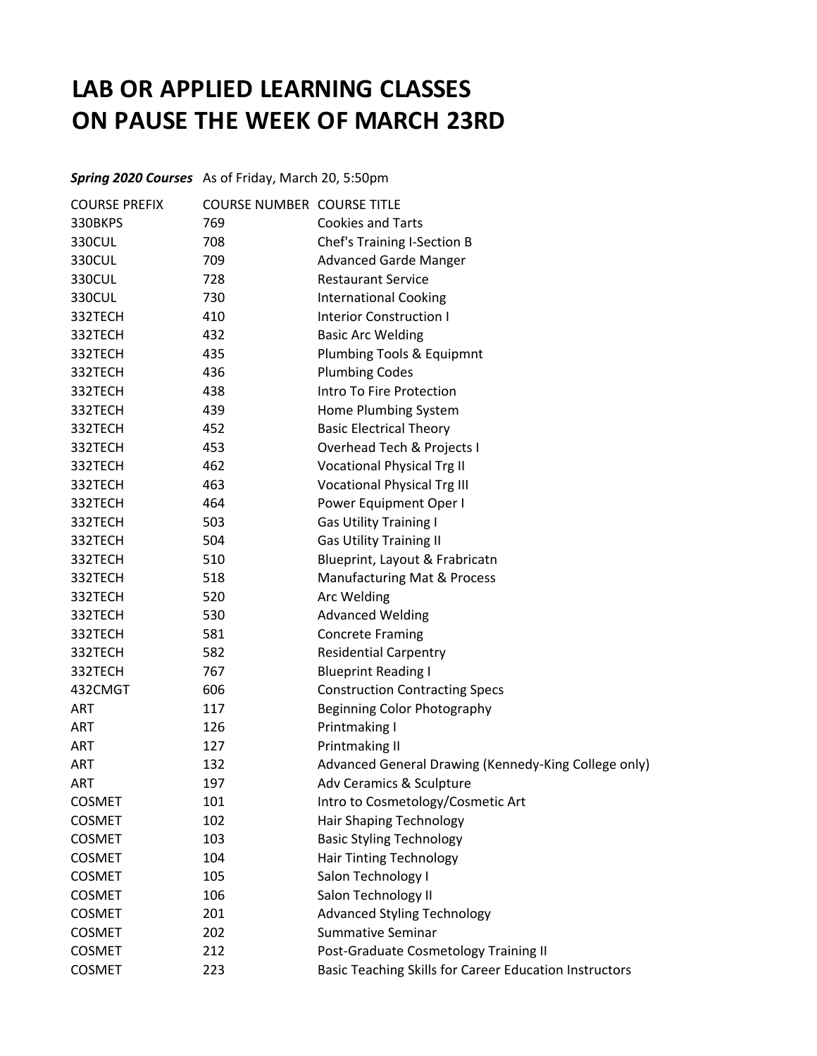## **LAB OR APPLIED LEARNING CLASSES ON PAUSE THE WEEK OF MARCH 23RD**

*Spring 2020 Courses* As of Friday, March 20, 5:50pm

| <b>COURSE PREFIX</b> | <b>COURSE NUMBER COURSE TITLE</b> |                                                        |
|----------------------|-----------------------------------|--------------------------------------------------------|
| 330BKPS              | 769                               | <b>Cookies and Tarts</b>                               |
| 330CUL               | 708                               | Chef's Training I-Section B                            |
| 330CUL               | 709                               | <b>Advanced Garde Manger</b>                           |
| 330CUL               | 728                               | <b>Restaurant Service</b>                              |
| 330CUL               | 730                               | <b>International Cooking</b>                           |
| 332TECH              | 410                               | <b>Interior Construction I</b>                         |
| 332TECH              | 432                               | <b>Basic Arc Welding</b>                               |
| 332TECH              | 435                               | Plumbing Tools & Equipmnt                              |
| 332TECH              | 436                               | <b>Plumbing Codes</b>                                  |
| 332TECH              | 438                               | Intro To Fire Protection                               |
| 332TECH              | 439                               | Home Plumbing System                                   |
| 332TECH              | 452                               | <b>Basic Electrical Theory</b>                         |
| 332TECH              | 453                               | Overhead Tech & Projects I                             |
| 332TECH              | 462                               | <b>Vocational Physical Trg II</b>                      |
| 332TECH              | 463                               | <b>Vocational Physical Trg III</b>                     |
| 332TECH              | 464                               | Power Equipment Oper I                                 |
| 332TECH              | 503                               | <b>Gas Utility Training I</b>                          |
| 332TECH              | 504                               | <b>Gas Utility Training II</b>                         |
| 332TECH              | 510                               | Blueprint, Layout & Frabricatn                         |
| 332TECH              | 518                               | Manufacturing Mat & Process                            |
| 332TECH              | 520                               | Arc Welding                                            |
| 332TECH              | 530                               | <b>Advanced Welding</b>                                |
| 332TECH              | 581                               | <b>Concrete Framing</b>                                |
| 332TECH              | 582                               | <b>Residential Carpentry</b>                           |
| 332TECH              | 767                               | <b>Blueprint Reading I</b>                             |
| 432CMGT              | 606                               | <b>Construction Contracting Specs</b>                  |
| ART                  | 117                               | Beginning Color Photography                            |
| <b>ART</b>           | 126                               | Printmaking I                                          |
| <b>ART</b>           | 127                               | Printmaking II                                         |
| ART                  | 132                               | Advanced General Drawing (Kennedy-King College only)   |
| <b>ART</b>           | 197                               | Adv Ceramics & Sculpture                               |
| <b>COSMET</b>        | 101                               | Intro to Cosmetology/Cosmetic Art                      |
| <b>COSMET</b>        | 102                               | <b>Hair Shaping Technology</b>                         |
| <b>COSMET</b>        | 103                               | <b>Basic Styling Technology</b>                        |
| <b>COSMET</b>        | 104                               | Hair Tinting Technology                                |
| <b>COSMET</b>        | 105                               | Salon Technology I                                     |
| <b>COSMET</b>        | 106                               | Salon Technology II                                    |
| <b>COSMET</b>        | 201                               | <b>Advanced Styling Technology</b>                     |
| <b>COSMET</b>        | 202                               | <b>Summative Seminar</b>                               |
| <b>COSMET</b>        | 212                               | Post-Graduate Cosmetology Training II                  |
| <b>COSMET</b>        | 223                               | Basic Teaching Skills for Career Education Instructors |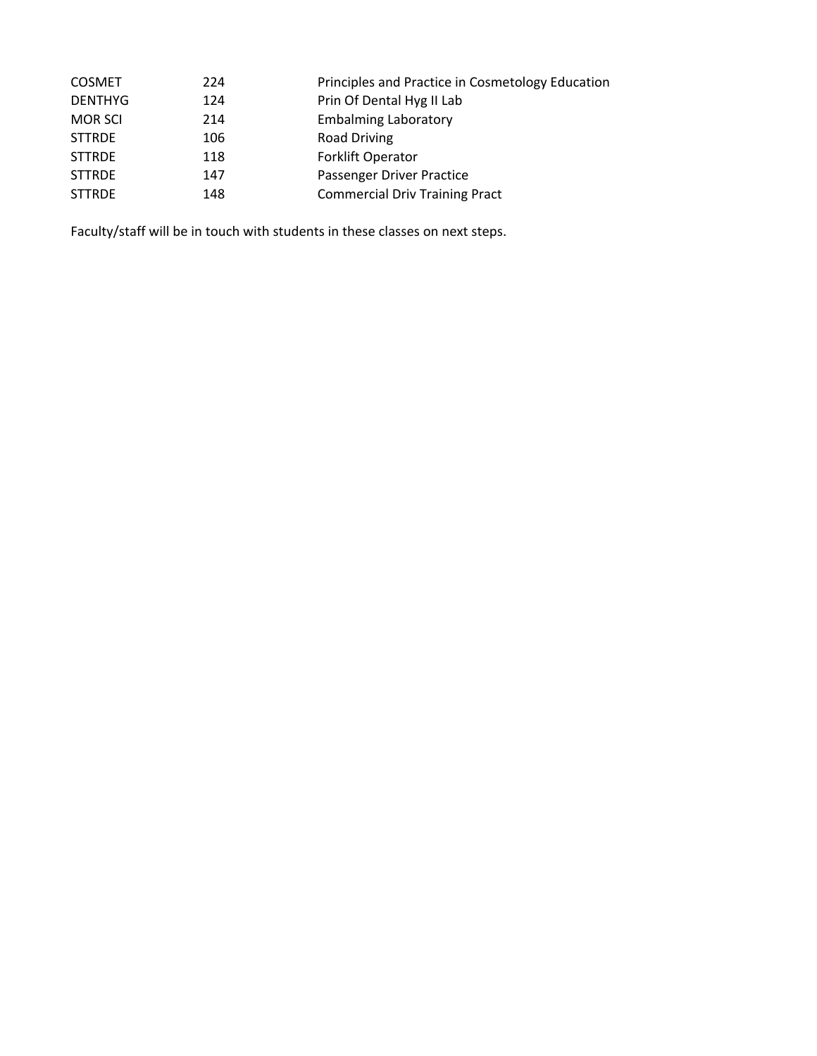| <b>COSMET</b>  | 224 | Principles and Practice in Cosmetology Education |
|----------------|-----|--------------------------------------------------|
| <b>DENTHYG</b> | 124 | Prin Of Dental Hyg II Lab                        |
| <b>MOR SCI</b> | 214 | <b>Embalming Laboratory</b>                      |
| <b>STTRDE</b>  | 106 | <b>Road Driving</b>                              |
| <b>STTRDE</b>  | 118 | <b>Forklift Operator</b>                         |
| <b>STTRDE</b>  | 147 | Passenger Driver Practice                        |
| <b>STTRDE</b>  | 148 | <b>Commercial Driv Training Pract</b>            |
|                |     |                                                  |

Faculty/staff will be in touch with students in these classes on next steps.